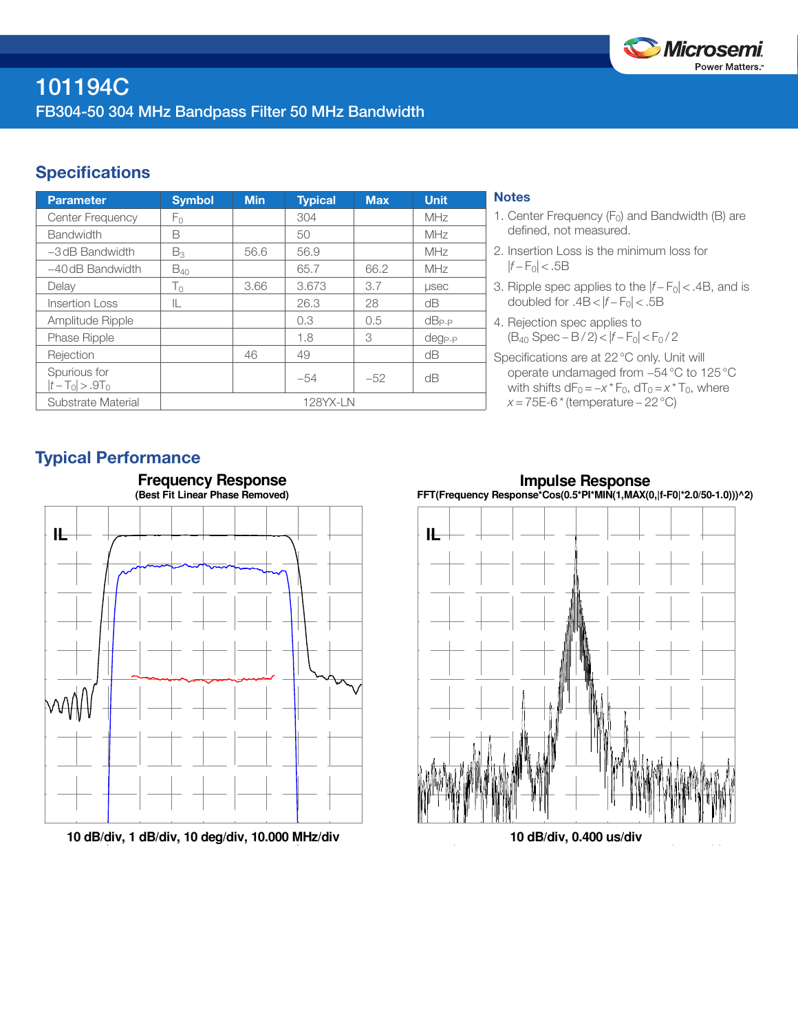

# **Specifications**

| <b>Parameter</b>                  | <b>Symbol</b> | <b>Min</b> | <b>Typical</b> | <b>Max</b> | <b>Unit</b>  |
|-----------------------------------|---------------|------------|----------------|------------|--------------|
| <b>Center Frequency</b>           | Fο            |            | 304            |            | MHz          |
| <b>Bandwidth</b>                  | B             |            | 50             |            | MHz          |
| $-3$ dB Bandwidth                 | $B_3$         | 56.6       | 56.9           |            | MHz          |
| $-40$ dB Bandwidth                | $B_{40}$      |            | 65.7           | 66.2       | MHz          |
| Delay                             | $T_0$         | 3.66       | 3.673          | 3.7        | <b>LISEC</b> |
| Insertion Loss                    | IL            |            | 26.3           | 28         | dΒ           |
| Amplitude Ripple                  |               |            | 0.3            | 0.5        | $dB_{P-P}$   |
| <b>Phase Ripple</b>               |               |            | 1.8            | 3          | $deg_{P-P}$  |
| Rejection                         |               | 46         | 49             |            | dB           |
| Spurious for<br>$ t-T_0  > .9T_0$ |               |            | $-54$          | $-52$      | dB           |
| Substrate Material                | 128YX-LN      |            |                |            |              |

## **Notes**

- 1. Center Frequency  $(F_0)$  and Bandwidth (B) are defined, not measured.
- 2. Insertion Loss is the minimum loss for  $|f - F_0|$  < .5B
- 3. Ripple spec applies to the  $|f F_0|$  < .4B, and is doubled for  $.4B < |f - F_0| < .5B$
- 4. Rejection spec applies to (B40 Spec − B / 2) < |*f* − F0| < F0 / 2
- Specifications are at 22°C only. Unit will operate undamaged from −54°C to 125°C with shifts  $dF_0 = -x * F_0$ ,  $dT_0 = x * T_0$ , where *x* = 75E-6 \* (temperature – 22 °C)

# Typical Performance



**10 dB/div, 1 dB/div, 10 deg/div, 10.000 MHz/div**

**Impulse Response FFT(Frequency Response\*Cos(0.5\*PI\*MIN(1,MAX(0,|f-F0|\*2.0/50-1.0)))^2)**



**10 dB/div, 0.400 us/div**